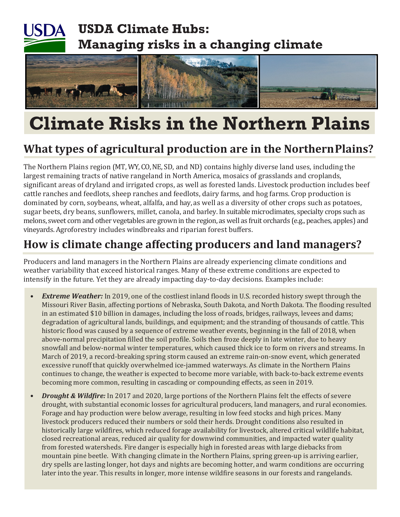## **USDA Climate Hubs: Managing risks in a changing climate**



# **Climate Risks in the Northern Plains**

### **What types of agricultural production are in the NorthernPlains?**

The Northern Plains region (MT, WY, CO, NE, SD, and ND) contains highly diverse land uses, including the largest remaining tracts of native rangeland in North America, mosaics of grasslands and croplands, significant areas of dryland and irrigated crops, as well as forested lands. Livestock production includes beef cattle ranches and feedlots, sheep ranches and feedlots, dairy farms, and hog farms. Crop production is dominated by corn, soybeans, wheat, alfalfa, and hay, as well as a diversity of other crops such as potatoes, sugar beets, dry beans, sunflowers, millet, canola, and barley. In suitable microclimates, specialty crops such as melons, sweet corn and other vegetables are grown in the region, as well as fruit orchards (e.g., peaches, apples) and vineyards. Agroforestry includes windbreaks and riparian forest buffers.

### **How is climate change affecting producers and land managers?**

Producers and land managers in the Northern Plains are already experiencing climate conditions and weather variability that exceed historical ranges. Many of these extreme conditions are expected to intensify in the future. Yet they are already impacting day-to-day decisions. Examples include:

- *Extreme Weather:* In 2019, one of the costliest inland floods in U.S. recorded history swept through the Missouri River Basin, affecting portions of Nebraska, South Dakota, and North Dakota. The flooding resulted in an estimated \$10 billion in damages, including the loss of roads, bridges, railways, levees and dams; degradation of agricultural lands, buildings, and equipment; and the stranding of thousands of cattle. This historic flood was caused by a sequence of extreme weather events, beginning in the fall of 2018, when above-normal precipitation filled the soil profile. Soils then froze deeply in late winter, due to heavy snowfall and below-normal winter temperatures, which caused thick ice to form on rivers and streams. In March of 2019, a record-breaking spring storm caused an extreme rain-on-snow event, which generated excessive runoff that quickly overwhelmed ice-jammed waterways. As climate in the Northern Plains continues to change, the weather is expected to become more variable, with back-to-back extreme events becoming more common, resulting in cascading or compounding effects, as seen in 2019.
- *• Drought & Wildfire:* In 2017 and 2020, large portions of the Northern Plains felt the effects of severe drought, with substantial economic losses for agricultural producers, land managers, and rural economies. Forage and hay production were below average, resulting in low feed stocks and high prices. Many livestock producers reduced their numbers or sold their herds. Drought conditions also resulted in historically large wildfires, which reduced forage availability for livestock, altered critical wildlife habitat, closed recreational areas, reduced air quality for downwind communities, and impacted water quality from forested watersheds. Fire danger is especially high in forested areas with large diebacks from mountain pine beetle. With changing climate in the Northern Plains, spring green-up is arriving earlier, dry spells are lasting longer, hot days and nights are becoming hotter, and warm conditions are occurring later into the year. This results in longer, more intense wildfire seasons in our forests and rangelands.